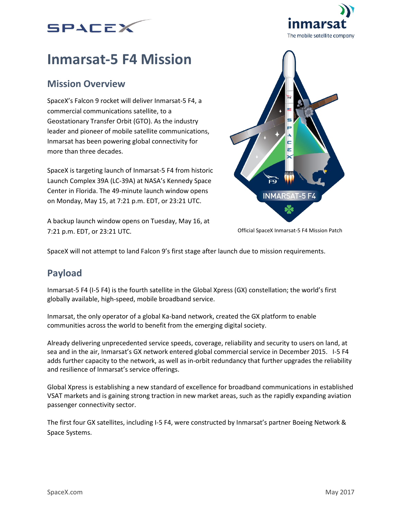



# **Inmarsat-5 F4 Mission**

### **Mission Overview**

SpaceX's Falcon 9 rocket will deliver Inmarsat-5 F4, a commercial communications satellite, to a Geostationary Transfer Orbit (GTO). As the industry leader and pioneer of mobile satellite communications, Inmarsat has been powering global connectivity for more than three decades.

SpaceX is targeting launch of Inmarsat-5 F4 from historic Launch Complex 39A (LC-39A) at NASA's Kennedy Space Center in Florida. The 49-minute launch window opens on Monday, May 15, at 7:21 p.m. EDT, or 23:21 UTC.

A backup launch window opens on Tuesday, May 16, at 7:21 p.m. EDT, or 23:21 UTC.



Official SpaceX Inmarsat-5 F4 Mission Patch

SpaceX will not attempt to land Falcon 9's first stage after launch due to mission requirements.

## **Payload**

Inmarsat-5 F4 (I-5 F4) is the fourth satellite in the Global Xpress (GX) constellation; the world's first globally available, high-speed, mobile broadband service.

Inmarsat, the only operator of a global Ka-band network, created the GX platform to enable communities across the world to benefit from the emerging digital society.

Already delivering unprecedented service speeds, coverage, reliability and security to users on land, at sea and in the air, Inmarsat's GX network entered global commercial service in December 2015. I-5 F4 adds further capacity to the network, as well as in-orbit redundancy that further upgrades the reliability and resilience of Inmarsat's service offerings.

Global Xpress is establishing a new standard of excellence for broadband communications in established VSAT markets and is gaining strong traction in new market areas, such as the rapidly expanding aviation passenger connectivity sector.

The first four GX satellites, including I-5 F4, were constructed by Inmarsat's partner Boeing Network & Space Systems.